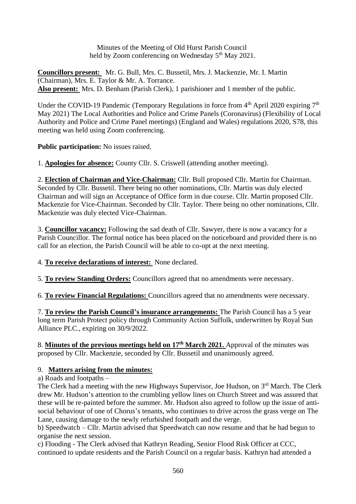Minutes of the Meeting of Old Hurst Parish Council held by Zoom conferencing on Wednesday 5<sup>th</sup> May 2021.

**Councillors present:** Mr. G. Bull, Mrs. C. Bussetil, Mrs. J. Mackenzie, Mr. I. Martin (Chairman), Mrs. E. Taylor & Mr. A. Torrance. **Also present:** Mrs. D. Benham (Parish Clerk), 1 parishioner and 1 member of the public.

Under the COVID-19 Pandemic (Temporary Regulations in force from  $4<sup>th</sup>$  April 2020 expiring  $7<sup>th</sup>$ May 2021) The Local Authorities and Police and Crime Panels (Coronavirus) (Flexibility of Local Authority and Police and Crime Panel meetings) (England and Wales) regulations 2020, S78, this meeting was held using Zoom conferencing.

**Public participation:** No issues raised.

1. **Apologies for absence:** County Cllr. S. Criswell (attending another meeting).

2. **Election of Chairman and Vice-Chairman:** Cllr. Bull proposed Cllr. Martin for Chairman. Seconded by Cllr. Bussetil. There being no other nominations, Cllr. Martin was duly elected Chairman and will sign an Acceptance of Office form in due course. Cllr. Martin proposed Cllr. Mackenzie for Vice-Chairman. Seconded by Cllr. Taylor. There being no other nominations, Cllr. Mackenzie was duly elected Vice-Chairman.

3. **Councillor vacancy:** Following the sad death of Cllr. Sawyer, there is now a vacancy for a Parish Councillor. The formal notice has been placed on the noticeboard and provided there is no call for an election, the Parish Council will be able to co-opt at the next meeting.

4. **To receive declarations of interest:** None declared.

5. **To review Standing Orders:** Councillors agreed that no amendments were necessary.

6. **To review Financial Regulations:** Councillors agreed that no amendments were necessary.

7. **To review the Parish Council's insurance arrangements:** The Parish Council has a 5 year long term Parish Protect policy through Community Action Suffolk, underwritten by Royal Sun Alliance PLC., expiring on 30/9/2022.

8. **Minutes of the previous meetings held on 17th March 2021.** Approval of the minutes was proposed by Cllr. Mackenzie, seconded by Cllr. Bussetil and unanimously agreed.

## 9. **Matters arising from the minutes:**

a) Roads and footpaths –

The Clerk had a meeting with the new Highways Supervisor, Joe Hudson, on 3<sup>rd</sup> March. The Clerk drew Mr. Hudson's attention to the crumbling yellow lines on Church Street and was assured that these will be re-painted before the summer. Mr. Hudson also agreed to follow up the issue of antisocial behaviour of one of Chorus's tenants, who continues to drive across the grass verge on The Lane, causing damage to the newly refurbished footpath and the verge.

b) Speedwatch – Cllr. Martin advised that Speedwatch can now resume and that he had begun to organise the next session.

c) Flooding - The Clerk advised that Kathryn Reading, Senior Flood Risk Officer at CCC, continued to update residents and the Parish Council on a regular basis. Kathryn had attended a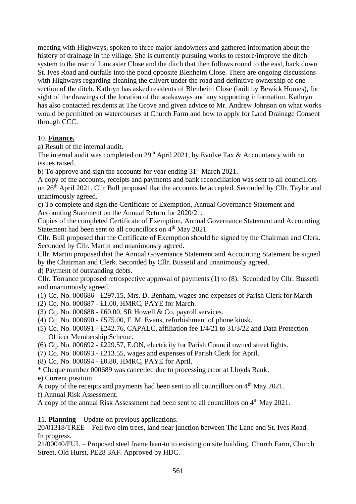meeting with Highways, spoken to three major landowners and gathered information about the history of drainage in the village. She is currently pursuing works to restore/improve the ditch system to the rear of Lancaster Close and the ditch that then follows round to the east, back down St. Ives Road and outfalls into the pond opposite Blenheim Close. There are ongoing discussions with Highways regarding cleaning the culvert under the road and definitive ownership of one section of the ditch. Kathryn has asked residents of Blenheim Close (built by Bewick Homes), for sight of the drawings of the location of the soakaways and any supporting information. Kathryn has also contacted residents at The Grove and given advice to Mr. Andrew Johnson on what works would be permitted on watercourses at Church Farm and how to apply for Land Drainage Consent through CCC.

## 10. **Finance.**

a) Result of the internal audit.

The internal audit was completed on  $29<sup>th</sup>$  April 2021, by Evolve Tax & Accountancy with no issues raised.

b) To approve and sign the accounts for year ending  $31<sup>st</sup>$  March 2021.

A copy of the accounts, receipts and payments and bank reconciliation was sent to all councillors on  $26<sup>th</sup>$  April 2021. Cllr Bull proposed that the accounts be accepted. Seconded by Cllr. Taylor and unanimously agreed.

c) To complete and sign the Certificate of Exemption, Annual Governance Statement and Accounting Statement on the Annual Return for 2020/21.

Copies of the completed Certificate of Exemption, Annual Governance Statement and Accounting Statement had been sent to all councillors on 4<sup>th</sup> May 2021

Cllr. Bull proposed that the Certificate of Exemption should be signed by the Chairman and Clerk. Seconded by Cllr. Martin and unanimously agreed.

Cllr. Martin proposed that the Annual Governance Statement and Accounting Statement be signed by the Chairman and Clerk. Seconded by Cllr. Bussetil and unanimously agreed.

d) Payment of outstanding debts.

Cllr. Torrance proposed retrospective approval of payments (1) to (8). Seconded by Cllr. Bussetil and unanimously agreed.

(1) Cq. No. 000686 - £297.15, Mrs. D. Benham, wages and expenses of Parish Clerk for March

- (2) Cq. No. 000687 £1.00, HMRC, PAYE for March.
- (3) Cq. No. 000688 £60.00, SR Howell & Co. payroll services.
- (4) Cq No. 000690 £575.00, F. M. Evans, refurbishment of phone kiosk.
- (5) Cq. No. 000691 £242.76, CAPALC, affiliation fee 1/4/21 to 31/3/22 and Data Protection Officer Membership Scheme.
- (6) Cq. No. 000692 £229.57, E.ON, electricity for Parish Council owned street lights.
- (7) Cq. No. 000693 £213.55, wages and expenses of Parish Clerk for April.
- (8) Cq. No. 000694 £0.80, HMRC, PAYE for April.
- \* Cheque number 000689 was cancelled due to processing error at Lloyds Bank.
- e) Current position.
- A copy of the receipts and payments had been sent to all councillors on 4th May 2021.
- f) Annual Risk Assessment.

A copy of the annual Risk Assessment had been sent to all councillors on  $4<sup>th</sup>$  May 2021.

11. **Planning** – Update on previous applications.

20/01318/TREE – Fell two elm trees, land near junction between The Lane and St. Ives Road. In progress.

21/00040/FUL – Proposed steel frame lean-to to existing on site building. Church Farm, Church Street, Old Hurst, PE28 3AF. Approved by HDC.